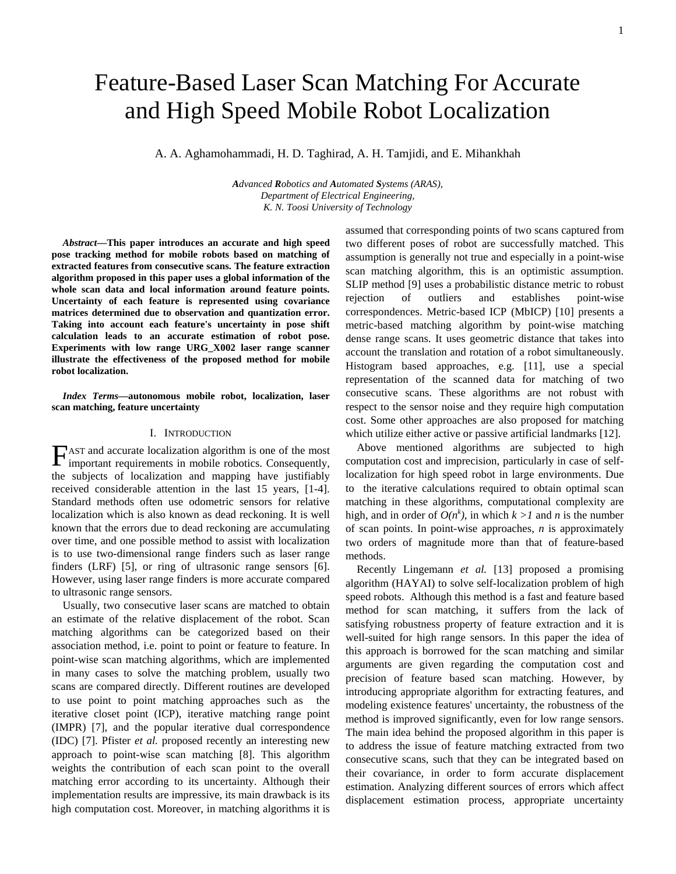# Feature-Based Laser Scan Matching For Accurate and High Speed Mobile Robot Localization

A. A. Aghamohammadi, H. D. Taghirad, A. H. Tamjidi, and E. Mihankhah

*Advanced Robotics and Automated Systems (ARAS), Department of Electrical Engineering, K. N. Toosi University of Technology*

*Abstract***—This paper introduces an accurate and high speed pose tracking method for mobile robots based on matching of extracted features from consecutive scans. The feature extraction algorithm proposed in this paper uses a global information of the whole scan data and local information around feature points. Uncertainty of each feature is represented using covariance matrices determined due to observation and quantization error. Taking into account each feature's uncertainty in pose shift calculation leads to an accurate estimation of robot pose. Experiments with low range URG\_X002 laser range scanner illustrate the effectiveness of the proposed method for mobile robot localization.** 

*Index Terms***—autonomous mobile robot, localization, laser scan matching, feature uncertainty** 

#### I. INTRODUCTION

AST and accurate localization algorithm is one of the most  $\Gamma$  AST and accurate localization algorithm is one of the most important requirements in mobile robotics. Consequently, the subjects of localization and mapping have justifiably received considerable attention in the last 15 years, [1-4]. Standard methods often use odometric sensors for relative localization which is also known as dead reckoning. It is well known that the errors due to dead reckoning are accumulating over time, and one possible method to assist with localization is to use two-dimensional range finders such as laser range finders (LRF) [5], or ring of ultrasonic range sensors [6]. However, using laser range finders is more accurate compared to ultrasonic range sensors.

Usually, two consecutive laser scans are matched to obtain an estimate of the relative displacement of the robot. Scan matching algorithms can be categorized based on their association method, i.e. point to point or feature to feature. In point-wise scan matching algorithms, which are implemented in many cases to solve the matching problem, usually two scans are compared directly. Different routines are developed to use point to point matching approaches such as the iterative closet point (ICP), iterative matching range point (IMPR) [7], and the popular iterative dual correspondence (IDC) [7]. Pfister *et al.* proposed recently an interesting new approach to point-wise scan matching [8]. This algorithm weights the contribution of each scan point to the overall matching error according to its uncertainty. Although their implementation results are impressive, its main drawback is its high computation cost. Moreover, in matching algorithms it is

assumed that corresponding points of two scans captured from two different poses of robot are successfully matched. This assumption is generally not true and especially in a point-wise scan matching algorithm, this is an optimistic assumption. SLIP method [9] uses a probabilistic distance metric to robust rejection of outliers and establishes point-wise correspondences. Metric-based ICP (MbICP) [10] presents a metric-based matching algorithm by point-wise matching dense range scans. It uses geometric distance that takes into account the translation and rotation of a robot simultaneously. Histogram based approaches, e.g. [11], use a special representation of the scanned data for matching of two consecutive scans. These algorithms are not robust with respect to the sensor noise and they require high computation cost. Some other approaches are also proposed for matching which utilize either active or passive artificial landmarks [12].

Above mentioned algorithms are subjected to high computation cost and imprecision, particularly in case of selflocalization for high speed robot in large environments. Due to the iterative calculations required to obtain optimal scan matching in these algorithms, computational complexity are high, and in order of  $O(n^k)$ , in which  $k > l$  and *n* is the number of scan points. In point-wise approaches, *n* is approximately two orders of magnitude more than that of feature-based methods.

Recently Lingemann *et al.* [13] proposed a promising algorithm (HAYAI) to solve self-localization problem of high speed robots. Although this method is a fast and feature based method for scan matching, it suffers from the lack of satisfying robustness property of feature extraction and it is well-suited for high range sensors. In this paper the idea of this approach is borrowed for the scan matching and similar arguments are given regarding the computation cost and precision of feature based scan matching. However, by introducing appropriate algorithm for extracting features, and modeling existence features' uncertainty, the robustness of the method is improved significantly, even for low range sensors. The main idea behind the proposed algorithm in this paper is to address the issue of feature matching extracted from two consecutive scans, such that they can be integrated based on their covariance, in order to form accurate displacement estimation. Analyzing different sources of errors which affect displacement estimation process, appropriate uncertainty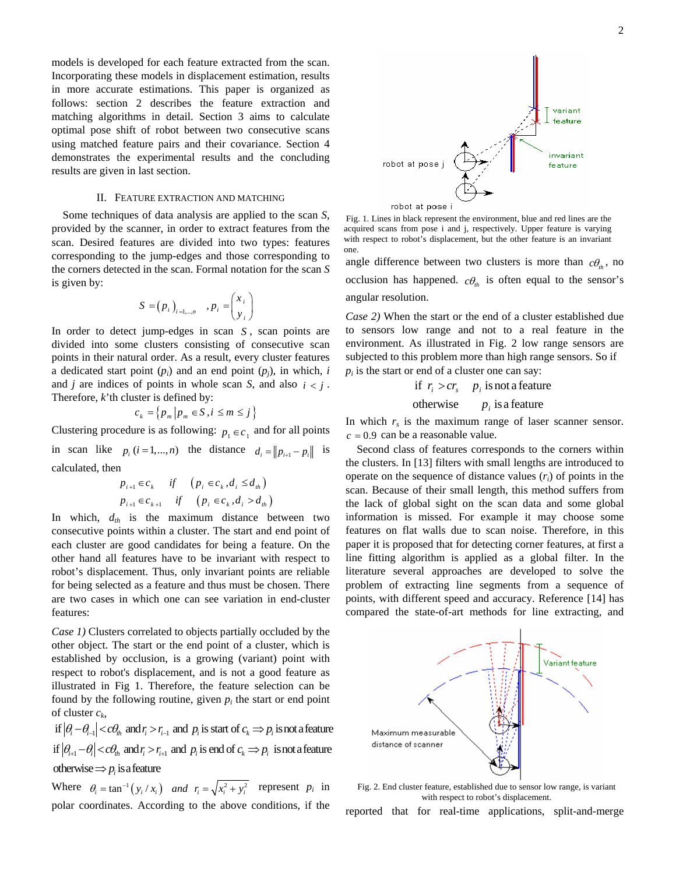models is developed for each feature extracted from the scan. Incorporating these models in displacement estimation, results in more accurate estimations. This paper is organized as follows: section 2 describes the feature extraction and matching algorithms in detail. Section 3 aims to calculate optimal pose shift of robot between two consecutive scans using matched feature pairs and their covariance. Section 4 demonstrates the experimental results and the concluding results are given in last section.

#### II. FEATURE EXTRACTION AND MATCHING

Some techniques of data analysis are applied to the scan *S*, provided by the scanner, in order to extract features from the scan. Desired features are divided into two types: features corresponding to the jump-edges and those corresponding to the corners detected in the scan. Formal notation for the scan *S* is given by:

$$
S = (p_i)_{i=1,\dots,n} , p_i = \begin{pmatrix} x_i \\ y_i \end{pmatrix}
$$

In order to detect jump-edges in scan  $S$ , scan points are divided into some clusters consisting of consecutive scan points in their natural order. As a result, every cluster features a dedicated start point  $(p_i)$  and an end point  $(p_j)$ , in which, *i* and *j* are indices of points in whole scan *S*, and also  $i < i$ . Therefore, *k*'th cluster is defined by:

$$
c_k = \left\{ p_m \middle| p_m \in S, i \leq m \leq j \right\}
$$

Clustering procedure is as following:  $p_1 \in c_1$  and for all points in scan like  $p_i$  ( $i = 1,...,n$ ) the distance  $d_i = ||p_{i+1} - p_i||$  is calculated, then

$$
p_{i+1} \in c_k \quad \text{if} \quad (p_i \in c_k, d_i \le d_{ih})
$$
  

$$
p_{i+1} \in c_{k+1} \quad \text{if} \quad (p_i \in c_k, d_i > d_{ih})
$$

In which,  $d_{th}$  is the maximum distance between two consecutive points within a cluster. The start and end point of each cluster are good candidates for being a feature. On the other hand all features have to be invariant with respect to robot's displacement. Thus, only invariant points are reliable for being selected as a feature and thus must be chosen. There are two cases in which one can see variation in end-cluster features:

*Case 1)* Clusters correlated to objects partially occluded by the other object. The start or the end point of a cluster, which is established by occlusion, is a growing (variant) point with respect to robot's displacement, and is not a good feature as illustrated in Fig 1. Therefore, the feature selection can be found by the following routine, given  $p_i$  the start or end point of cluster  $c_k$ ,

 $\inf |\theta_i - \theta_{i-1}| < c\theta_{ih}$  and  $r_i > r_{i-1}$  and  $p_i$  is start of  $c_k \implies p_i$  is not a feature  $\inf |\theta_{i+1} - \theta_i| < c\theta_{in}$  and  $r_i > r_{i+1}$  and  $p_i$  is end of  $c_k \Rightarrow p_i$  is not a feature otherwise  $\Rightarrow$   $p_i$  is a feature

Where  $\theta_i = \tan^{-1}(y_i / x_i)$  and  $r_i = \sqrt{x_i^2 + y_i^2}$  represent  $p_i$  in polar coordinates. According to the above conditions, if the

 Fig. 1. Lines in black represent the environment, blue and red lines are the acquired scans from pose i and j, respectively. Upper feature is varying with respect to robot's displacement, but the other feature is an invariant one.

angle difference between two clusters is more than  $c\theta_h$ , no occlusion has happened.  $c\theta_{th}$  is often equal to the sensor's angular resolution.

*Case 2)* When the start or the end of a cluster established due to sensors low range and not to a real feature in the environment. As illustrated in Fig. 2 low range sensors are subjected to this problem more than high range sensors. So if  $p_i$  is the start or end of a cluster one can say:

if 
$$
r_i > cr_s
$$
  $p_i$  is not a feature

otherwise 
$$
p_i
$$
 is a feature

In which  $r<sub>s</sub>$  is the maximum range of laser scanner sensor.  $c = 0.9$  can be a reasonable value.

Second class of features corresponds to the corners within the clusters. In [13] filters with small lengths are introduced to operate on the sequence of distance values (*ri*) of points in the scan. Because of their small length, this method suffers from the lack of global sight on the scan data and some global information is missed. For example it may choose some features on flat walls due to scan noise. Therefore, in this paper it is proposed that for detecting corner features, at first a line fitting algorithm is applied as a global filter. In the literature several approaches are developed to solve the problem of extracting line segments from a sequence of points, with different speed and accuracy. Reference [14] has compared the state-of-art methods for line extracting, and



Fig. 2. End cluster feature, established due to sensor low range, is variant with respect to robot's displacement.

reported that for real-time applications, split-and-merge

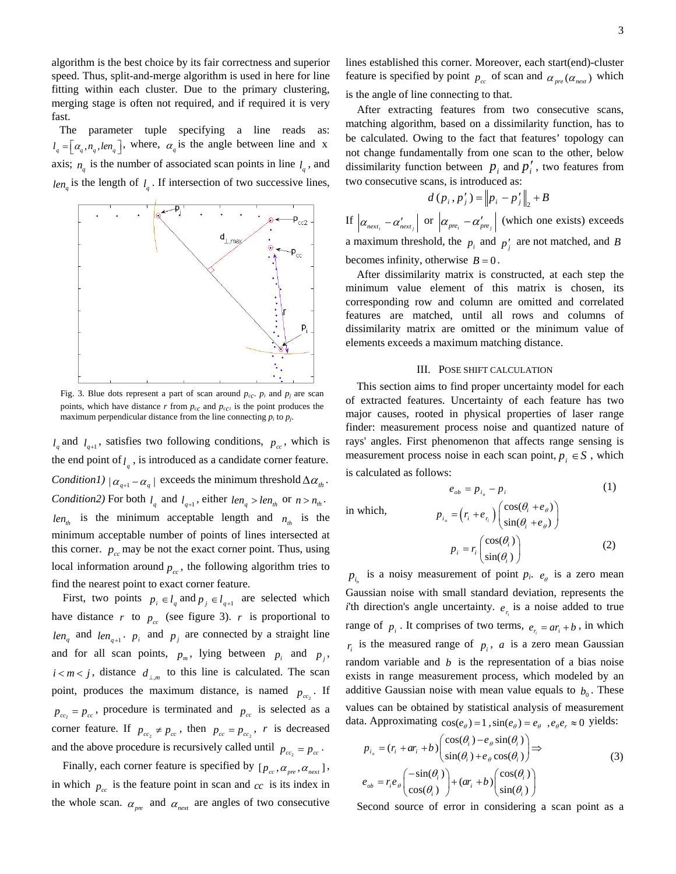algorithm is the best choice by its fair correctness and superior speed. Thus, split-and-merge algorithm is used in here for line fitting within each cluster. Due to the primary clustering, merging stage is often not required, and if required it is very fast.

The parameter tuple specifying a line reads as:  $l_q = [\alpha_q, n_q, len_q]$ , where,  $\alpha_q$  is the angle between line and x axis;  $n_q$  is the number of associated scan points in line  $l_q$ , and  $len_q$  is the length of  $l_q$ . If intersection of two successive lines,



Fig. 3. Blue dots represent a part of scan around  $p_{cc}$ .  $p_i$  and  $p_j$  are scan points, which have distance  $r$  from  $p_{cc}$  and  $p_{cc}$  is the point produces the maximum perpendicular distance from the line connecting  $p_i$  to  $p_j$ .

 $l_q$  and  $l_{q+1}$ , satisfies two following conditions,  $p_{cc}$ , which is the end point of  $l_q$ , is introduced as a candidate corner feature. *Condition1*)  $| \alpha_{a+1} - \alpha_a |$  exceeds the minimum threshold  $\Delta \alpha_{th}$ . *Condition2*) For both  $l_q$  and  $l_{q+1}$ , either  $len_q > len_{th}$  or  $n > n_{th}$ .  $len_{th}$  is the minimum acceptable length and  $n_{th}$  is the minimum acceptable number of points of lines intersected at this corner.  $p_{cc}$  may be not the exact corner point. Thus, using local information around  $p_{cc}$ , the following algorithm tries to find the nearest point to exact corner feature.

len<sub>q</sub> and len<sub>q+1</sub>.  $p_i$  and  $p_j$  are connected by a straight line First, two points  $p_i \in l_q$  and  $p_j \in l_{q+1}$  are selected which have distance *r* to  $p_{cc}$  (see figure 3). *r* is proportional to and for all scan points,  $p_m$ , lying between  $p_i$  and  $p_j$ ,  $i < m < j$ , distance  $d_{\perp,m}$  to this line is calculated. The scan point, produces the maximum distance, is named  $p_{cc_2}$ . If  $p_{cc_2} = p_{cc}$ , procedure is terminated and  $p_{cc}$  is selected as a corner feature. If  $p_{cc_2} \neq p_{cc}$ , then  $p_{cc} = p_{cc_2}$ , r is decreased and the above procedure is recursively called until  $p_{cc_2} = p_{cc}$ .

Finally, each corner feature is specified by  $[p_{cc}, \alpha_{pre}, \alpha_{next}]$ , in which  $p_{cc}$  is the feature point in scan and  $cc$  is its index in the whole scan.  $\alpha_{\text{pre}}$  and  $\alpha_{\text{next}}$  are angles of two consecutive lines established this corner. Moreover, each start(end)-cluster feature is specified by point  $p_{cc}$  of scan and  $\alpha_{pre}(\alpha_{next})$  which is the angle of line connecting to that.

After extracting features from two consecutive scans, matching algorithm, based on a dissimilarity function, has to be calculated. Owing to the fact that features' topology can not change fundamentally from one scan to the other, below dissimilarity function between  $p_i$  and  $p'_i$ , two features from two consecutive scans, is introduced as:

$$
d(p_i, p'_j) = ||p_i - p'_j||_2 + B
$$

If  $\left| \alpha_{next_i} - \alpha'_{next_j} \right|$  or  $\left| \alpha_{pre_i} - \alpha'_{pre_j} \right|$  (which one exists) exceeds a maximum threshold, the  $p_i$  and  $p'_j$  are not matched, and *B* becomes infinity, otherwise  $B = 0$ .

After dissimilarity matrix is constructed, at each step the minimum value element of this matrix is chosen, its corresponding row and column are omitted and correlated features are matched, until all rows and columns of dissimilarity matrix are omitted or the minimum value of elements exceeds a maximum matching distance.

### III. POSE SHIFT CALCULATION

This section aims to find proper uncertainty model for each of extracted features. Uncertainty of each feature has two major causes, rooted in physical properties of laser range finder: measurement process noise and quantized nature of rays' angles. First phenomenon that affects range sensing is measurement process noise in each scan point,  $p_i \in S$ , which is calculated as follows:

 $e_{ob} = p_{i_n} - p_i$  (1) in which,  $p_{i_n} = (r_i + e_{r_i}) \begin{pmatrix} \cos(\theta_i + e_{\theta}) \\ \sin(\theta_i + e_{\theta}) \end{pmatrix}$  $p_{i_n} = (r_i + e_{r_i}) \begin{pmatrix} \cos(\theta_i + e_{\theta_i}) \\ \sin(\theta_i + e_{\theta_i}) \end{pmatrix}$ θ θ θ  $=\left(r_i+e_{r_i}\right)\begin{pmatrix} \cos(\theta_i+e_{\theta}) \\ \sin(\theta_i+e_{\theta}) \end{pmatrix}$  $r = r \left( \cos(\theta_i) \right)$  $r_i = r_i \left( \frac{\cos(\theta_i)}{\sin(\theta_i)} \right)$  $p_i = r_i \begin{pmatrix} \cos(\theta_i) \\ \cos(\theta_i) \end{pmatrix}$  $= r_i \begin{pmatrix} \cos(\theta_i) \\ \sin(\theta_i) \end{pmatrix}$ ⎞  $\overline{\phantom{a}}$ (2)

 $sin(\theta_i)$ 

 $p_{i_n}$  is a noisy measurement of point  $p_i$ .  $e_{\theta}$  is a zero mean Gaussian noise with small standard deviation, represents the *i*'th direction's angle uncertainty.  $e_{r_i}$  is a noise added to true range of  $p_i$ . It comprises of two terms,  $e_{r_i} = ar_i + b$ , in which  $r_i$  is the measured range of  $p_i$ , a is a zero mean Gaussian random variable and  $b$  is the representation of a bias noise exists in range measurement process, which modeled by an additive Gaussian noise with mean value equals to  $b_0$ . These values can be obtained by statistical analysis of measurement data. Approximating  $cos(e_{\theta}) = 1$ ,  $sin(e_{\theta}) = e_{\theta}$ ,  $e_{\theta}e_{r} \approx 0$  yields:

$$
p_{i_n} = (r_i + ar_i + b) \begin{pmatrix} \cos(\theta_i) - e_{\theta} \sin(\theta_i) \\ \sin(\theta_i) + e_{\theta} \cos(\theta_i) \end{pmatrix} \Rightarrow
$$
  
\n
$$
e_{ob} = r_i e_{\theta} \begin{pmatrix} -\sin(\theta_i) \\ \cos(\theta_i) \end{pmatrix} + (ar_i + b) \begin{pmatrix} \cos(\theta_i) \\ \sin(\theta_i) \end{pmatrix}
$$
 (3)

Second source of error in considering a scan point as a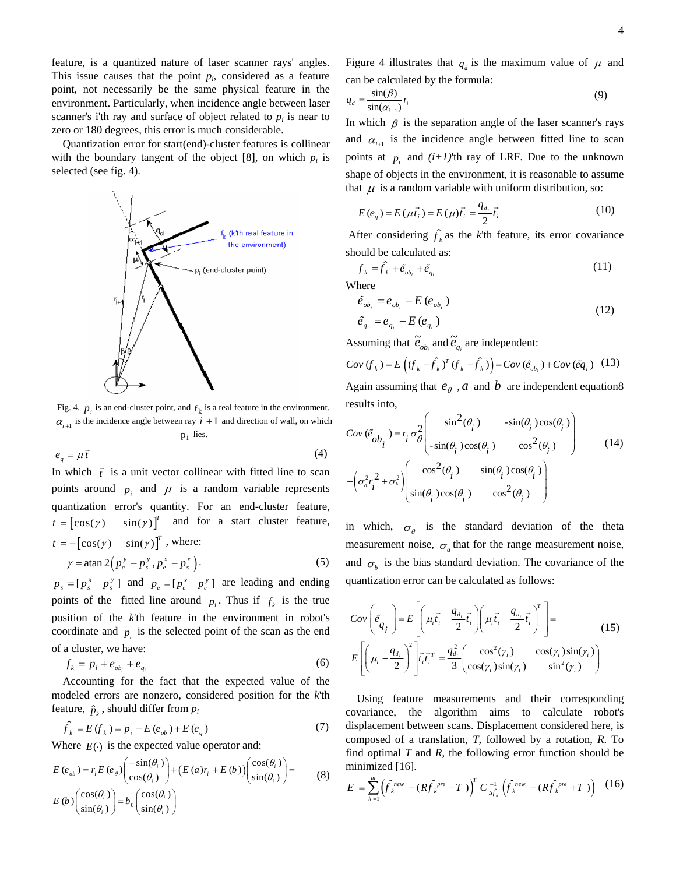feature, is a quantized nature of laser scanner rays' angles. This issue causes that the point  $p_i$ , considered as a feature point, not necessarily be the same physical feature in the environment. Particularly, when incidence angle between laser scanner's i'th ray and surface of object related to  $p_i$  is near to zero or 180 degrees, this error is much considerable.

Quantization error for start(end)-cluster features is collinear with the boundary tangent of the object  $[8]$ , on which  $p_i$  is selected (see fig. 4).



Fig. 4.  $p_i$  is an end-cluster point, and  $f_k$  is a real feature in the environment.  $\alpha_{i+1}$  is the incidence angle between ray  $i + 1$  and direction of wall, on which  $p_i$  lies.

$$
e_q = \mu \vec{t} \tag{4}
$$

In which  $\vec{t}$  is a unit vector collinear with fitted line to scan points around  $p_i$  and  $\mu$  is a random variable represents quantization error's quantity. For an end-cluster feature,  $t = [\cos(\gamma) \quad \sin(\gamma)]^T$  and for a start cluster feature,  $t = -\left[\cos(\gamma) \quad \sin(\gamma)\right]^T$ , where:  $\gamma = \tan 2(p_e^y - p_s^y, p_e^x - p_s^x)$ . (5)

 $p_s = [p_s^x \quad p_s^y]$  and  $p_e = [p_e^x \quad p_e^y]$  are leading and ending points of the fitted line around  $p_i$ . Thus if  $f_k$  is the true position of the *k*'th feature in the environment in robot's coordinate and  $p_i$  is the selected point of the scan as the end of a cluster, we have:

$$
f_k = p_i + e_{ob_i} + e_{q_i} \tag{6}
$$

Accounting for the fact that the expected value of the modeled errors are nonzero, considered position for the *k*'th feature,  $\hat{p}_i$ , should differ from  $p_i$ 

$$
\hat{f}_k = E(f_k) = p_i + E(e_{ob}) + E(e_q)
$$
\n(7)

Where  $E(\cdot)$  is the expected value operator and:

$$
E(e_{ob}) = r_i E(e_{\theta}) \begin{pmatrix} -\sin(\theta_i) \\ \cos(\theta_i) \end{pmatrix} + (E(a)r_i + E(b)) \begin{pmatrix} \cos(\theta_i) \\ \sin(\theta_i) \end{pmatrix} =
$$
  
\n
$$
E(b) \begin{pmatrix} \cos(\theta_i) \\ \sin(\theta_i) \end{pmatrix} = b_0 \begin{pmatrix} \cos(\theta_i) \\ \sin(\theta_i) \end{pmatrix}
$$
 (8)

Figure 4 illustrates that  $q_d$  is the maximum value of  $\mu$  and can be calculated by the formula:

$$
q_d = \frac{\sin(\beta)}{\sin(\alpha_{i+1})} r_i \tag{9}
$$

In which  $\beta$  is the separation angle of the laser scanner's rays and  $\alpha_{i+1}$  is the incidence angle between fitted line to scan points at  $p_i$  and  $(i+1)$ <sup>th</sup> ray of LRF. Due to the unknown shape of objects in the environment, it is reasonable to assume that  $\mu$  is a random variable with uniform distribution, so:

$$
E(e_q) = E(\mu \vec{t}_i) = E(\mu)\vec{t}_i = \frac{q_{d_i}}{2}\vec{t}_i
$$
 (10)

After considering  $\hat{f}_k$  as the *k*'th feature, its error covariance should be calculated as:

$$
f_k = \hat{f}_k + \tilde{e}_{ob_i} + \tilde{e}_{q_i}
$$
 (11)

Where

$$
\tilde{e}_{ob_i} = e_{ob_i} - E(e_{ob_i})
$$
\n
$$
\tilde{e}_{q_i} = e_{q_i} - E(e_{q_i})
$$
\n(12)

Assuming that  $\tilde{e}_{ob_i}$  and  $\tilde{e}_{q_i}$  are independent:

$$
Cov(f_k) = E\left((f_k - \hat{f}_k)^T (f_k - \hat{f}_k)\right) = Cov(\tilde{e}_{ob_i}) + Cov(\tilde{e}_{q_i})
$$
 (13)

Again assuming that  $e_{\theta}$ , *a* and *b* are independent equation8 results into,

$$
Cov(\tilde{e}_{ob_i}) = r_i \sigma_{\theta}^2 \begin{pmatrix} \sin^2(\theta_i) & -\sin(\theta_i)\cos(\theta_i) \\ -\sin(\theta_i)\cos(\theta_i) & \cos^2(\theta_i) \end{pmatrix}
$$
(14)  
+
$$
\left(\sigma_a^2 r_i^2 + \sigma_i^2\right) \begin{pmatrix} \cos^2(\theta_i) & \sin(\theta_i)\cos(\theta_i) \\ \sin(\theta_i)\cos(\theta_i) & \cos^2(\theta_i) \end{pmatrix}
$$

in which,  $\sigma_{\theta}$  is the standard deviation of the theta measurement noise,  $\sigma_a$  that for the range measurement noise, and  $\sigma_b$  is the bias standard deviation. The covariance of the quantization error can be calculated as follows:

$$
Cov\left(\tilde{e}_{q_i}\right) = E\left[\left(\mu_i \vec{t}_i - \frac{q_{d_i}}{2} \vec{t}_i\right) \left(\mu_i \vec{t}_i - \frac{q_{d_i}}{2} \vec{t}_i\right)^T\right] =
$$
\n
$$
E\left[\left(\mu_i - \frac{q_{d_i}}{2}\right)^2 \left|\vec{t}_i \vec{t}_i^T\right| = \frac{q_{d_i}^2}{3} \left(\frac{\cos^2(\gamma_i)}{\cos(\gamma_i)\sin(\gamma_i)} - \frac{\cos(\gamma_i)\sin(\gamma_i)}{\sin^2(\gamma_i)}\right)\right]
$$
\n(15)

Using feature measurements and their corresponding covariance, the algorithm aims to calculate robot's displacement between scans. Displacement considered here, is composed of a translation, *T*, followed by a rotation, *R*. To find optimal *T* and *R*, the following error function should be minimized [16].

$$
E = \sum_{k=1}^{m} \left( \hat{f}_k^{new} - (R \hat{f}_k^{pre} + T) \right)^T C_{\Delta \hat{f}_k}^{-1} \left( \hat{f}_k^{new} - (R \hat{f}_k^{pre} + T) \right) \tag{16}
$$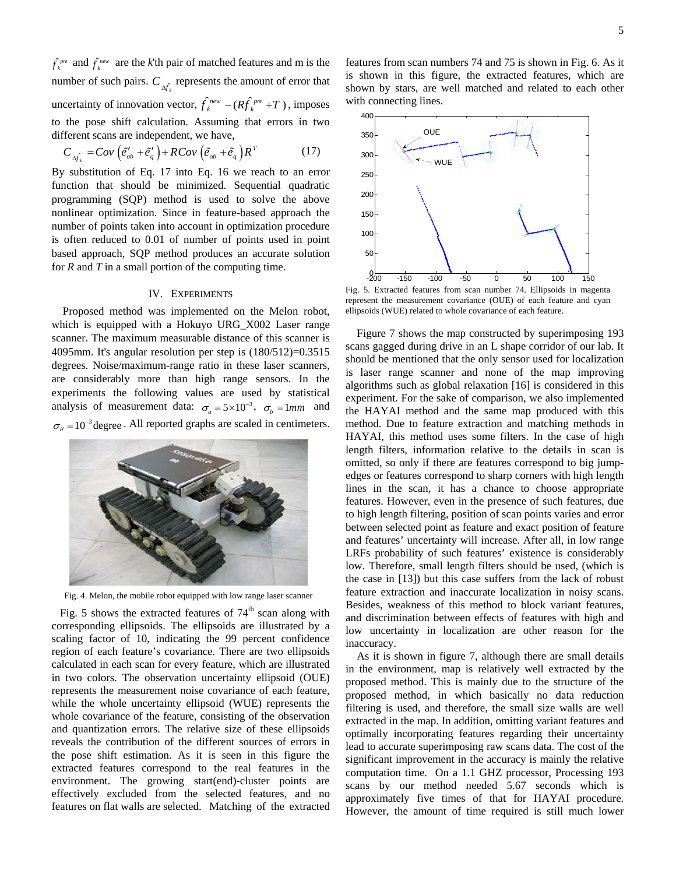$\hat{f}_k^{pre}$  and  $\hat{f}_k^{new}$  are the *k*'th pair of matched features and m is the number of such pairs.  $C_{\hat{A}_{\hat{k}}}$  represents the amount of error that uncertainty of innovation vector,  $\hat{f}_k^{new} - (R \hat{f}_k^{pre} + T)$ , imposes to the pose shift calculation. Assuming that errors in two different scans are independent, we have,

$$
C_{\Delta \hat{f}_k} = Cov\left(\tilde{e}_{ob}^{\prime} + \tilde{e}_q^{\prime}\right) + RCov\left(\tilde{e}_{ob} + \tilde{e}_q\right)R^T
$$
 (17)

By substitution of Eq. 17 into Eq. 16 we reach to an error function that should be minimized. Sequential quadratic programming (SQP) method is used to solve the above nonlinear optimization. Since in feature-based approach the number of points taken into account in optimization procedure is often reduced to 0.01 of number of points used in point based approach, SQP method produces an accurate solution for *R* and *T* in a small portion of the computing time.

## IV. EXPERIMENTS

Proposed method was implemented on the Melon robot, which is equipped with a Hokuyo URG\_X002 Laser range scanner. The maximum measurable distance of this scanner is 4095mm. It's angular resolution per step is (180/512)=0.3515 degrees. Noise/maximum-range ratio in these laser scanners, are considerably more than high range sensors. In the experiments the following values are used by statistical analysis of measurement data:  $\sigma_a = 5 \times 10^{-3}$ ,  $\sigma_b = 1 \text{ mm}$  and  $\sigma_{\theta} = 10^{-3}$  degree . All reported graphs are scaled in centimeters.



Fig. 4. Melon, the mobile robot equipped with low range laser scanner

Fig. 5 shows the extracted features of  $74<sup>th</sup>$  scan along with corresponding ellipsoids. The ellipsoids are illustrated by a scaling factor of 10, indicating the 99 percent confidence region of each feature's covariance. There are two ellipsoids calculated in each scan for every feature, which are illustrated in two colors. The observation uncertainty ellipsoid (OUE) represents the measurement noise covariance of each feature, while the whole uncertainty ellipsoid (WUE) represents the whole covariance of the feature, consisting of the observation and quantization errors. The relative size of these ellipsoids reveals the contribution of the different sources of errors in the pose shift estimation. As it is seen in this figure the extracted features correspond to the real features in the environment. The growing start(end)-cluster points are effectively excluded from the selected features, and no features on flat walls are selected. Matching of the extracted

features from scan numbers 74 and 75 is shown in Fig. 6. As it is shown in this figure, the extracted features, which are shown by stars, are well matched and related to each other with connecting lines.



Fig. 5. Extracted features from scan number 74. Ellipsoids in magenta represent the measurement covariance (OUE) of each feature and cyan ellipsoids (WUE) related to whole covariance of each feature.

Figure 7 shows the map constructed by superimposing 193 scans gagged during drive in an L shape corridor of our lab. It should be mentioned that the only sensor used for localization is laser range scanner and none of the map improving algorithms such as global relaxation [16] is considered in this experiment. For the sake of comparison, we also implemented the HAYAI method and the same map produced with this method. Due to feature extraction and matching methods in HAYAI, this method uses some filters. In the case of high length filters, information relative to the details in scan is omitted, so only if there are features correspond to big jumpedges or features correspond to sharp corners with high length lines in the scan, it has a chance to choose appropriate features. However, even in the presence of such features, due to high length filtering, position of scan points varies and error between selected point as feature and exact position of feature and features' uncertainty will increase. After all, in low range LRFs probability of such features' existence is considerably low. Therefore, small length filters should be used, (which is the case in [13]) but this case suffers from the lack of robust feature extraction and inaccurate localization in noisy scans. Besides, weakness of this method to block variant features, and discrimination between effects of features with high and low uncertainty in localization are other reason for the inaccuracy.

As it is shown in figure 7, although there are small details in the environment, map is relatively well extracted by the proposed method. This is mainly due to the structure of the proposed method, in which basically no data reduction filtering is used, and therefore, the small size walls are well extracted in the map. In addition, omitting variant features and optimally incorporating features regarding their uncertainty lead to accurate superimposing raw scans data. The cost of the significant improvement in the accuracy is mainly the relative computation time. On a 1.1 GHZ processor, Processing 193 scans by our method needed 5.67 seconds which is approximately five times of that for HAYAI procedure. However, the amount of time required is still much lower